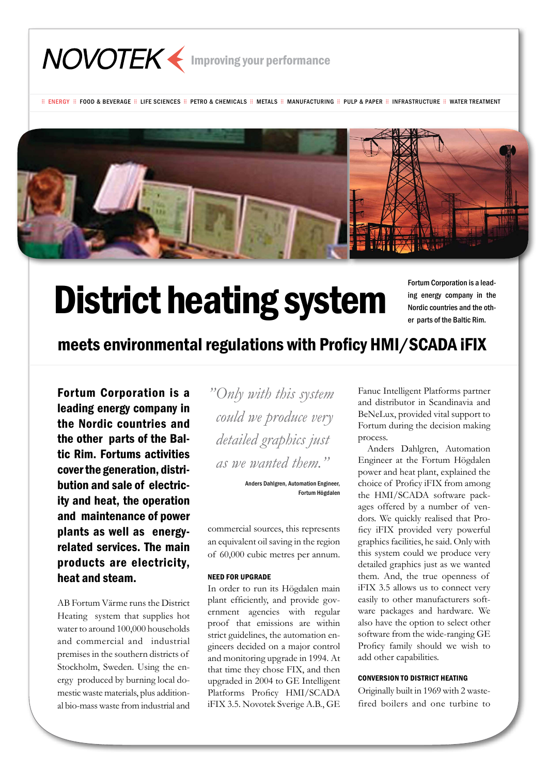

 $\equiv$  FNFRGY  $\equiv$  FOOD & BEVERAGE  $\equiv$  LIFE SCIENCES  $\equiv$  PETRO & CHEMICALS  $\equiv$  MATHAS  $\equiv$  MANUFACTURING  $\equiv$  PULP & PAPER  $\equiv$  INFRASTRUCTURE  $\equiv$  WATER TREATMENT



# District heating system

Fortum Corporation is a leading energy company in the Nordic countries and the other parts of the Baltic Rim.

meets environmental regulations with Proficy HMI/SCADA iFIX

Fortum Corporation is a leading energy company in the Nordic countries and the other parts of the Baltic Rim. Fortums activities cover the generation, distribution and sale of electricity and heat, the operation and maintenance of power plants as well as energyrelated services. The main products are electricity, heat and steam.

AB Fortum Värme runs the District Heating system that supplies hot water to around 100,000 households and commercial and industrial premises in the southern districts of Stockholm, Sweden. Using the energy produced by burning local domestic waste materials, plus additional bio-mass waste from industrial and *"Only with this system could we produce very detailed graphics just as we wanted them."*

> Anders Dahlgren, Automation Engineer, Fortum Högdalen

commercial sources, this represents an equivalent oil saving in the region of 60,000 cubic metres per annum.

#### Need for upgrade

In order to run its Högdalen main plant efficiently, and provide government agencies with regular proof that emissions are within strict guidelines, the automation engineers decided on a major control and monitoring upgrade in 1994. At that time they chose FIX, and then upgraded in 2004 to GE Intelligent Platforms Proficy HMI/SCADA iFIX 3.5. Novotek Sverige A.B., GE

Fanuc Intelligent Platforms partner and distributor in Scandinavia and BeNeLux, provided vital support to Fortum during the decision making process.

 Anders Dahlgren, Automation Engineer at the Fortum Högdalen power and heat plant, explained the choice of Proficy iFIX from among the HMI/SCADA software packages offered by a number of vendors. We quickly realised that Proficy iFIX provided very powerful graphics facilities, he said. Only with this system could we produce very detailed graphics just as we wanted them. And, the true openness of iFIX 3.5 allows us to connect very easily to other manufacturers software packages and hardware. We also have the option to select other software from the wide-ranging GE Proficy family should we wish to add other capabilities.

# Conversion to District Heating

Originally built in 1969 with 2 wastefired boilers and one turbine to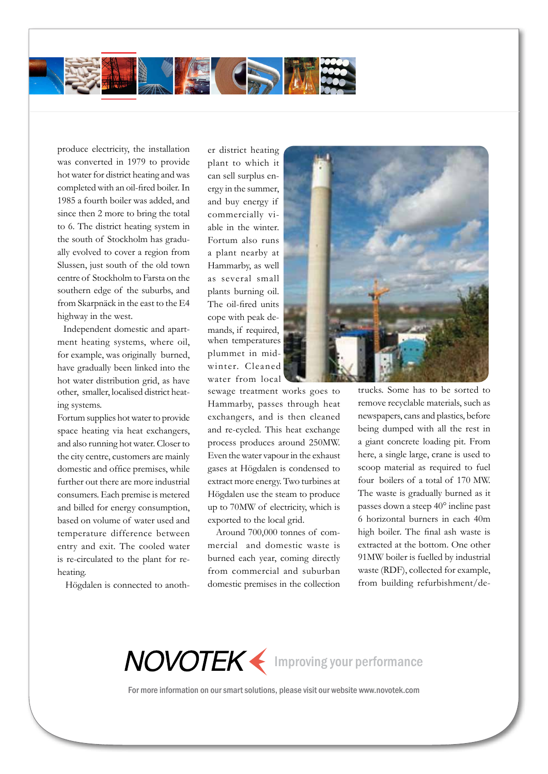

produce electricity, the installation was converted in 1979 to provide hot water for district heating and was completed with an oil-fired boiler. In 1985 a fourth boiler was added, and since then 2 more to bring the total to 6. The district heating system in the south of Stockholm has gradually evolved to cover a region from Slussen, just south of the old town centre of Stockholm to Farsta on the southern edge of the suburbs, and from Skarpnäck in the east to the E4 highway in the west.

 Independent domestic and apartment heating systems, where oil, for example, was originally burned, have gradually been linked into the hot water distribution grid, as have other, smaller, localised district heating systems.

Fortum supplies hot water to provide space heating via heat exchangers, and also running hot water. Closer to the city centre, customers are mainly domestic and office premises, while further out there are more industrial consumers. Each premise is metered and billed for energy consumption, based on volume of water used and temperature difference between entry and exit. The cooled water is re-circulated to the plant for reheating.

Högdalen is connected to anoth-

er district heating plant to which it can sell surplus energy in the summer, and buy energy if commercially viable in the winter. Fortum also runs a plant nearby at Hammarby, as well as several small plants burning oil. The oil-fired units cope with peak demands, if required, when temperatures plummet in midwinter. Cleaned water from local

sewage treatment works goes to Hammarby, passes through heat exchangers, and is then cleaned and re-cycled. This heat exchange process produces around 250MW. Even the water vapour in the exhaust gases at Högdalen is condensed to extract more energy. Two turbines at Högdalen use the steam to produce up to 70MW of electricity, which is exported to the local grid.

 Around 700,000 tonnes of commercial and domestic waste is burned each year, coming directly from commercial and suburban domestic premises in the collection



trucks. Some has to be sorted to remove recyclable materials, such as newspapers, cans and plastics, before being dumped with all the rest in a giant concrete loading pit. From here, a single large, crane is used to scoop material as required to fuel four boilers of a total of 170 MW. The waste is gradually burned as it passes down a steep 40° incline past 6 horizontal burners in each 40m high boiler. The final ash waste is extracted at the bottom. One other 91MW boiler is fuelled by industrial waste (RDF), collected for example, from building refurbishment/de-

NOVOTEK < Improving your performance

For more information on our smart solutions, please visit our website www.novotek.com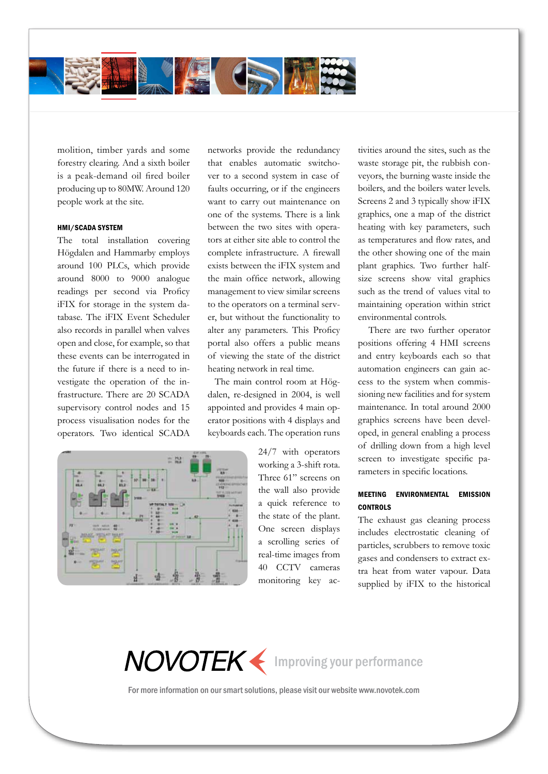

molition, timber yards and some forestry clearing. And a sixth boiler is a peak-demand oil fired boiler producing up to 80MW. Around 120 people work at the site.

# HMI/SCADA system

The total installation covering Högdalen and Hammarby employs around 100 PLCs, which provide around 8000 to 9000 analogue readings per second via Proficy iFIX for storage in the system database. The iFIX Event Scheduler also records in parallel when valves open and close, for example, so that these events can be interrogated in the future if there is a need to investigate the operation of the infrastructure. There are 20 SCADA supervisory control nodes and 15 process visualisation nodes for the operators. Two identical SCADA



networks provide the redundancy that enables automatic switchover to a second system in case of faults occurring, or if the engineers want to carry out maintenance on one of the systems. There is a link between the two sites with operators at either site able to control the complete infrastructure. A firewall exists between the iFIX system and the main office network, allowing management to view similar screens to the operators on a terminal server, but without the functionality to alter any parameters. This Proficy portal also offers a public means of viewing the state of the district heating network in real time.

 The main control room at Högdalen, re-designed in 2004, is well appointed and provides 4 main operator positions with 4 displays and keyboards each. The operation runs

> 24/7 with operators working a 3-shift rota. Three 61" screens on the wall also provide a quick reference to the state of the plant. One screen displays a scrolling series of real-time images from 40 CCTV cameras monitoring key ac

tivities around the sites, such as the waste storage pit, the rubbish conveyors, the burning waste inside the boilers, and the boilers water levels. Screens 2 and 3 typically show iFIX graphics, one a map of the district heating with key parameters, such as temperatures and flow rates, and the other showing one of the main plant graphics. Two further halfsize screens show vital graphics such as the trend of values vital to maintaining operation within strict environmental controls.

 There are two further operator positions offering 4 HMI screens and entry keyboards each so that automation engineers can gain access to the system when commissioning new facilities and for system maintenance. In total around 2000 graphics screens have been developed, in general enabling a process of drilling down from a high level screen to investigate specific parameters in specific locations.

# Meeting environmental emission **CONTROLS**

The exhaust gas cleaning process includes electrostatic cleaning of particles, scrubbers to remove toxic gases and condensers to extract extra heat from water vapour. Data supplied by iFIX to the historical

NOVOTEK < Improving your performance

For more information on our smart solutions, please visit our website www.novotek.com